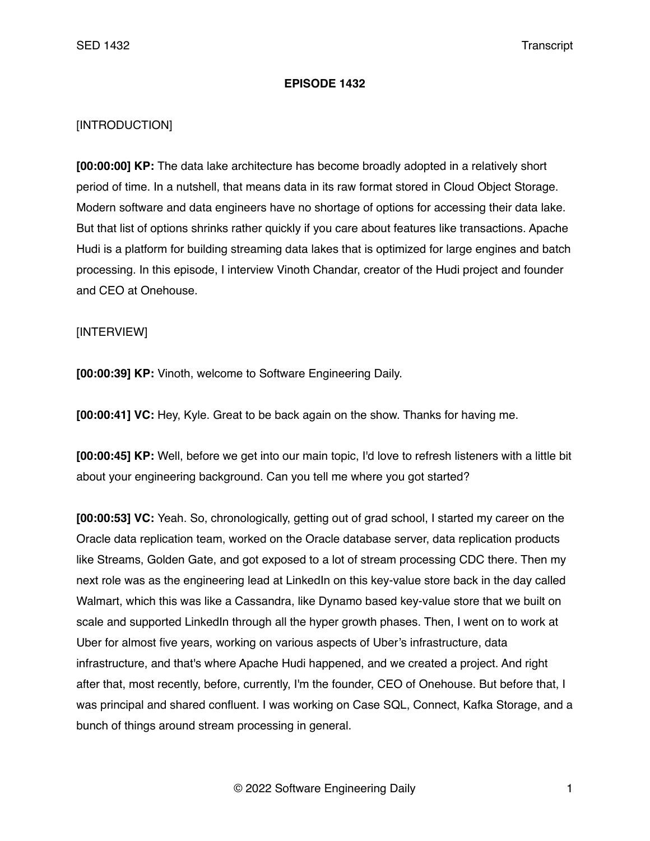## **EPISODE 1432**

## [INTRODUCTION]

**[00:00:00] KP:** The data lake architecture has become broadly adopted in a relatively short period of time. In a nutshell, that means data in its raw format stored in Cloud Object Storage. Modern software and data engineers have no shortage of options for accessing their data lake. But that list of options shrinks rather quickly if you care about features like transactions. Apache Hudi is a platform for building streaming data lakes that is optimized for large engines and batch processing. In this episode, I interview Vinoth Chandar, creator of the Hudi project and founder and CEO at Onehouse.

## [INTERVIEW]

**[00:00:39] KP:** Vinoth, welcome to Software Engineering Daily.

**[00:00:41] VC:** Hey, Kyle. Great to be back again on the show. Thanks for having me.

**[00:00:45] KP:** Well, before we get into our main topic, I'd love to refresh listeners with a little bit about your engineering background. Can you tell me where you got started?

**[00:00:53] VC:** Yeah. So, chronologically, getting out of grad school, I started my career on the Oracle data replication team, worked on the Oracle database server, data replication products like Streams, Golden Gate, and got exposed to a lot of stream processing CDC there. Then my next role was as the engineering lead at LinkedIn on this key-value store back in the day called Walmart, which this was like a Cassandra, like Dynamo based key-value store that we built on scale and supported LinkedIn through all the hyper growth phases. Then, I went on to work at Uber for almost five years, working on various aspects of Uber's infrastructure, data infrastructure, and that's where Apache Hudi happened, and we created a project. And right after that, most recently, before, currently, I'm the founder, CEO of Onehouse. But before that, I was principal and shared confluent. I was working on Case SQL, Connect, Kafka Storage, and a bunch of things around stream processing in general.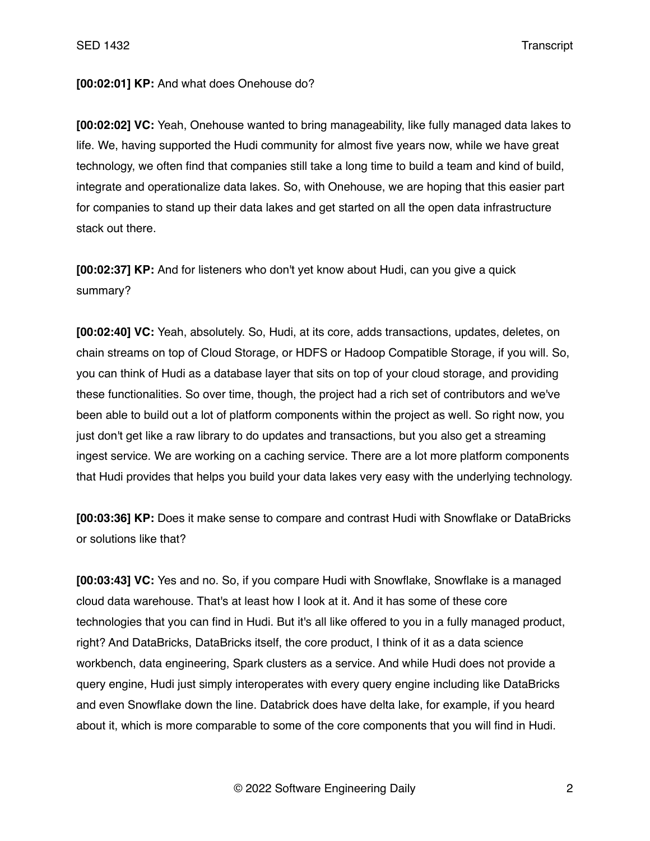## **[00:02:01] KP:** And what does Onehouse do?

**[00:02:02] VC:** Yeah, Onehouse wanted to bring manageability, like fully managed data lakes to life. We, having supported the Hudi community for almost five years now, while we have great technology, we often find that companies still take a long time to build a team and kind of build, integrate and operationalize data lakes. So, with Onehouse, we are hoping that this easier part for companies to stand up their data lakes and get started on all the open data infrastructure stack out there.

**[00:02:37] KP:** And for listeners who don't yet know about Hudi, can you give a quick summary?

**[00:02:40] VC:** Yeah, absolutely. So, Hudi, at its core, adds transactions, updates, deletes, on chain streams on top of Cloud Storage, or HDFS or Hadoop Compatible Storage, if you will. So, you can think of Hudi as a database layer that sits on top of your cloud storage, and providing these functionalities. So over time, though, the project had a rich set of contributors and we've been able to build out a lot of platform components within the project as well. So right now, you just don't get like a raw library to do updates and transactions, but you also get a streaming ingest service. We are working on a caching service. There are a lot more platform components that Hudi provides that helps you build your data lakes very easy with the underlying technology.

**[00:03:36] KP:** Does it make sense to compare and contrast Hudi with Snowflake or DataBricks or solutions like that?

**[00:03:43] VC:** Yes and no. So, if you compare Hudi with Snowflake, Snowflake is a managed cloud data warehouse. That's at least how I look at it. And it has some of these core technologies that you can find in Hudi. But it's all like offered to you in a fully managed product, right? And DataBricks, DataBricks itself, the core product, I think of it as a data science workbench, data engineering, Spark clusters as a service. And while Hudi does not provide a query engine, Hudi just simply interoperates with every query engine including like DataBricks and even Snowflake down the line. Databrick does have delta lake, for example, if you heard about it, which is more comparable to some of the core components that you will find in Hudi.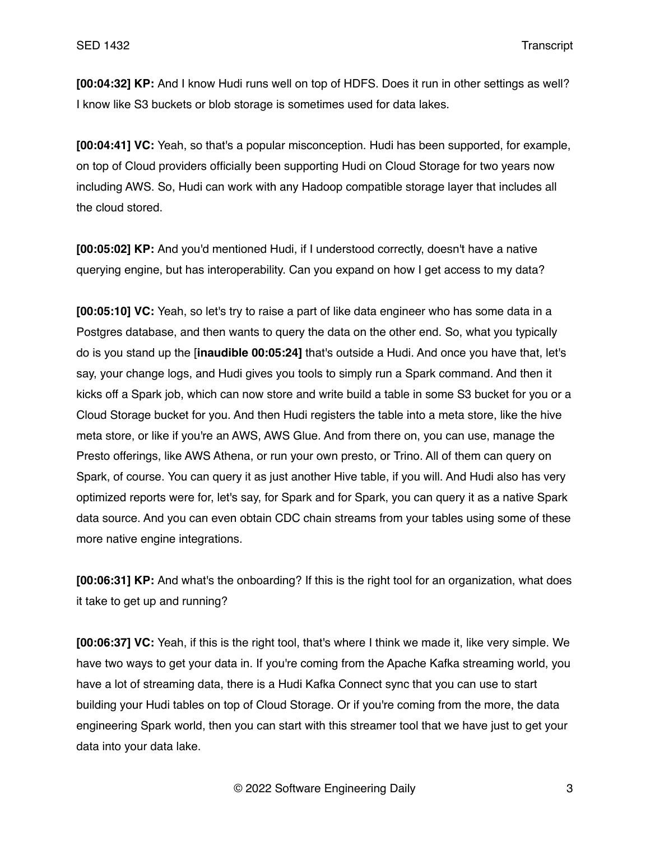**[00:04:32] KP:** And I know Hudi runs well on top of HDFS. Does it run in other settings as well? I know like S3 buckets or blob storage is sometimes used for data lakes.

**[00:04:41] VC:** Yeah, so that's a popular misconception. Hudi has been supported, for example, on top of Cloud providers officially been supporting Hudi on Cloud Storage for two years now including AWS. So, Hudi can work with any Hadoop compatible storage layer that includes all the cloud stored.

**[00:05:02] KP:** And you'd mentioned Hudi, if I understood correctly, doesn't have a native querying engine, but has interoperability. Can you expand on how I get access to my data?

**[00:05:10] VC:** Yeah, so let's try to raise a part of like data engineer who has some data in a Postgres database, and then wants to query the data on the other end. So, what you typically do is you stand up the [**inaudible 00:05:24]** that's outside a Hudi. And once you have that, let's say, your change logs, and Hudi gives you tools to simply run a Spark command. And then it kicks off a Spark job, which can now store and write build a table in some S3 bucket for you or a Cloud Storage bucket for you. And then Hudi registers the table into a meta store, like the hive meta store, or like if you're an AWS, AWS Glue. And from there on, you can use, manage the Presto offerings, like AWS Athena, or run your own presto, or Trino. All of them can query on Spark, of course. You can query it as just another Hive table, if you will. And Hudi also has very optimized reports were for, let's say, for Spark and for Spark, you can query it as a native Spark data source. And you can even obtain CDC chain streams from your tables using some of these more native engine integrations.

**[00:06:31] KP:** And what's the onboarding? If this is the right tool for an organization, what does it take to get up and running?

**[00:06:37] VC:** Yeah, if this is the right tool, that's where I think we made it, like very simple. We have two ways to get your data in. If you're coming from the Apache Kafka streaming world, you have a lot of streaming data, there is a Hudi Kafka Connect sync that you can use to start building your Hudi tables on top of Cloud Storage. Or if you're coming from the more, the data engineering Spark world, then you can start with this streamer tool that we have just to get your data into your data lake.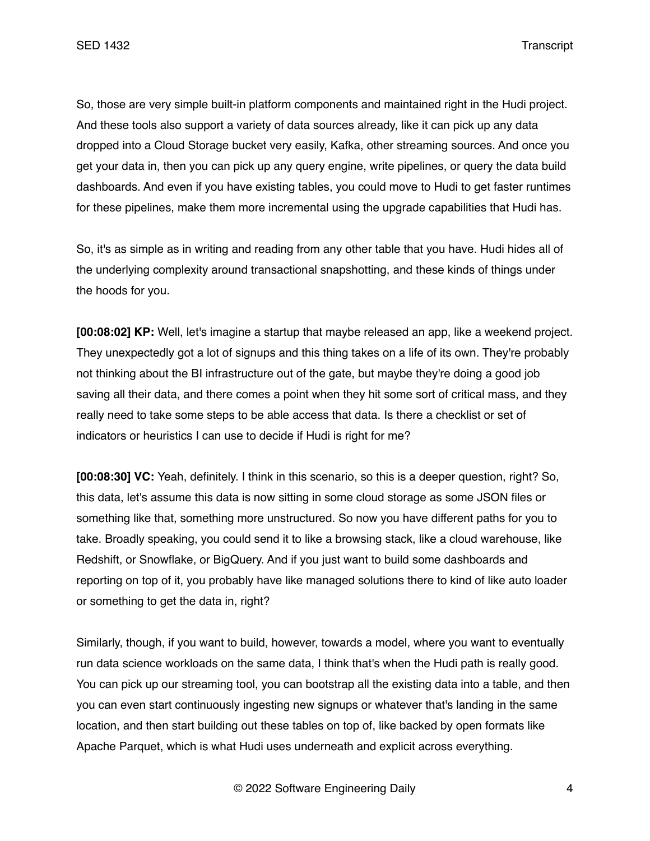So, those are very simple built-in platform components and maintained right in the Hudi project. And these tools also support a variety of data sources already, like it can pick up any data dropped into a Cloud Storage bucket very easily, Kafka, other streaming sources. And once you get your data in, then you can pick up any query engine, write pipelines, or query the data build dashboards. And even if you have existing tables, you could move to Hudi to get faster runtimes for these pipelines, make them more incremental using the upgrade capabilities that Hudi has.

So, it's as simple as in writing and reading from any other table that you have. Hudi hides all of the underlying complexity around transactional snapshotting, and these kinds of things under the hoods for you.

**[00:08:02] KP:** Well, let's imagine a startup that maybe released an app, like a weekend project. They unexpectedly got a lot of signups and this thing takes on a life of its own. They're probably not thinking about the BI infrastructure out of the gate, but maybe they're doing a good job saving all their data, and there comes a point when they hit some sort of critical mass, and they really need to take some steps to be able access that data. Is there a checklist or set of indicators or heuristics I can use to decide if Hudi is right for me?

**[00:08:30] VC:** Yeah, definitely. I think in this scenario, so this is a deeper question, right? So, this data, let's assume this data is now sitting in some cloud storage as some JSON files or something like that, something more unstructured. So now you have different paths for you to take. Broadly speaking, you could send it to like a browsing stack, like a cloud warehouse, like Redshift, or Snowflake, or BigQuery. And if you just want to build some dashboards and reporting on top of it, you probably have like managed solutions there to kind of like auto loader or something to get the data in, right?

Similarly, though, if you want to build, however, towards a model, where you want to eventually run data science workloads on the same data, I think that's when the Hudi path is really good. You can pick up our streaming tool, you can bootstrap all the existing data into a table, and then you can even start continuously ingesting new signups or whatever that's landing in the same location, and then start building out these tables on top of, like backed by open formats like Apache Parquet, which is what Hudi uses underneath and explicit across everything.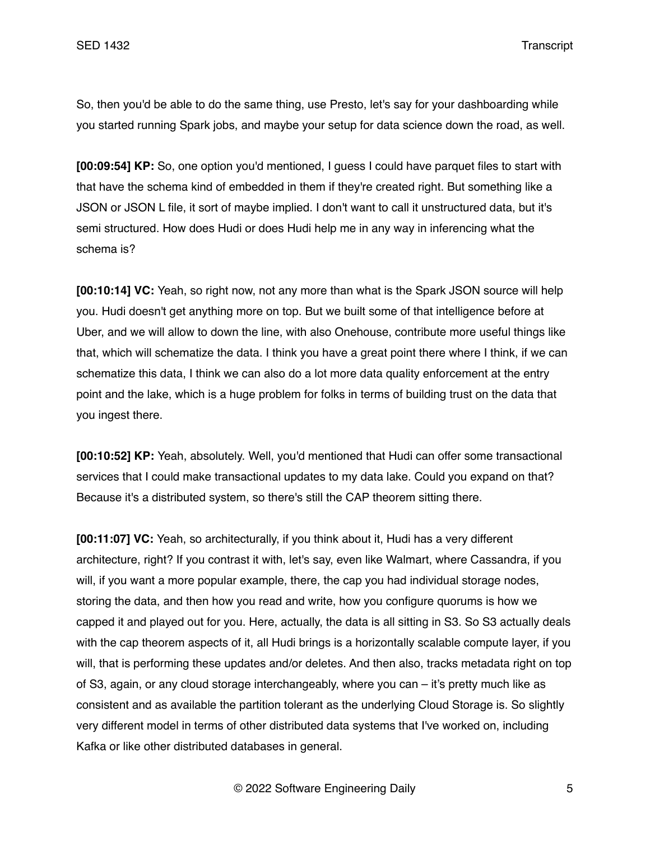So, then you'd be able to do the same thing, use Presto, let's say for your dashboarding while you started running Spark jobs, and maybe your setup for data science down the road, as well.

**[00:09:54] KP:** So, one option you'd mentioned, I guess I could have parquet files to start with that have the schema kind of embedded in them if they're created right. But something like a JSON or JSON L file, it sort of maybe implied. I don't want to call it unstructured data, but it's semi structured. How does Hudi or does Hudi help me in any way in inferencing what the schema is?

**[00:10:14] VC:** Yeah, so right now, not any more than what is the Spark JSON source will help you. Hudi doesn't get anything more on top. But we built some of that intelligence before at Uber, and we will allow to down the line, with also Onehouse, contribute more useful things like that, which will schematize the data. I think you have a great point there where I think, if we can schematize this data, I think we can also do a lot more data quality enforcement at the entry point and the lake, which is a huge problem for folks in terms of building trust on the data that you ingest there.

**[00:10:52] KP:** Yeah, absolutely. Well, you'd mentioned that Hudi can offer some transactional services that I could make transactional updates to my data lake. Could you expand on that? Because it's a distributed system, so there's still the CAP theorem sitting there.

**[00:11:07] VC:** Yeah, so architecturally, if you think about it, Hudi has a very different architecture, right? If you contrast it with, let's say, even like Walmart, where Cassandra, if you will, if you want a more popular example, there, the cap you had individual storage nodes, storing the data, and then how you read and write, how you configure quorums is how we capped it and played out for you. Here, actually, the data is all sitting in S3. So S3 actually deals with the cap theorem aspects of it, all Hudi brings is a horizontally scalable compute layer, if you will, that is performing these updates and/or deletes. And then also, tracks metadata right on top of S3, again, or any cloud storage interchangeably, where you can – it's pretty much like as consistent and as available the partition tolerant as the underlying Cloud Storage is. So slightly very different model in terms of other distributed data systems that I've worked on, including Kafka or like other distributed databases in general.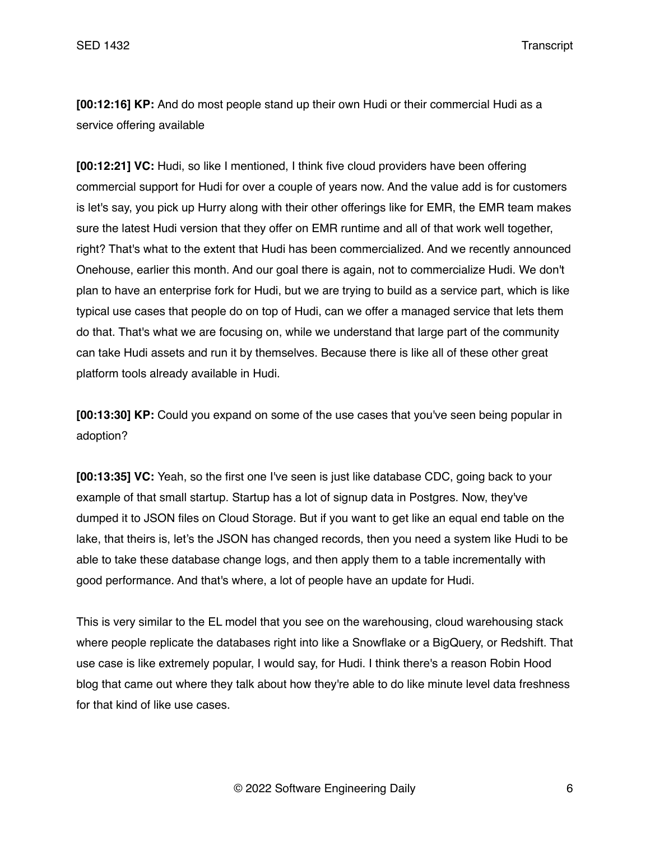**[00:12:16] KP:** And do most people stand up their own Hudi or their commercial Hudi as a service offering available

**[00:12:21] VC:** Hudi, so like I mentioned, I think five cloud providers have been offering commercial support for Hudi for over a couple of years now. And the value add is for customers is let's say, you pick up Hurry along with their other offerings like for EMR, the EMR team makes sure the latest Hudi version that they offer on EMR runtime and all of that work well together, right? That's what to the extent that Hudi has been commercialized. And we recently announced Onehouse, earlier this month. And our goal there is again, not to commercialize Hudi. We don't plan to have an enterprise fork for Hudi, but we are trying to build as a service part, which is like typical use cases that people do on top of Hudi, can we offer a managed service that lets them do that. That's what we are focusing on, while we understand that large part of the community can take Hudi assets and run it by themselves. Because there is like all of these other great platform tools already available in Hudi.

**[00:13:30] KP:** Could you expand on some of the use cases that you've seen being popular in adoption?

**[00:13:35] VC:** Yeah, so the first one I've seen is just like database CDC, going back to your example of that small startup. Startup has a lot of signup data in Postgres. Now, they've dumped it to JSON files on Cloud Storage. But if you want to get like an equal end table on the lake, that theirs is, let's the JSON has changed records, then you need a system like Hudi to be able to take these database change logs, and then apply them to a table incrementally with good performance. And that's where, a lot of people have an update for Hudi.

This is very similar to the EL model that you see on the warehousing, cloud warehousing stack where people replicate the databases right into like a Snowflake or a BigQuery, or Redshift. That use case is like extremely popular, I would say, for Hudi. I think there's a reason Robin Hood blog that came out where they talk about how they're able to do like minute level data freshness for that kind of like use cases.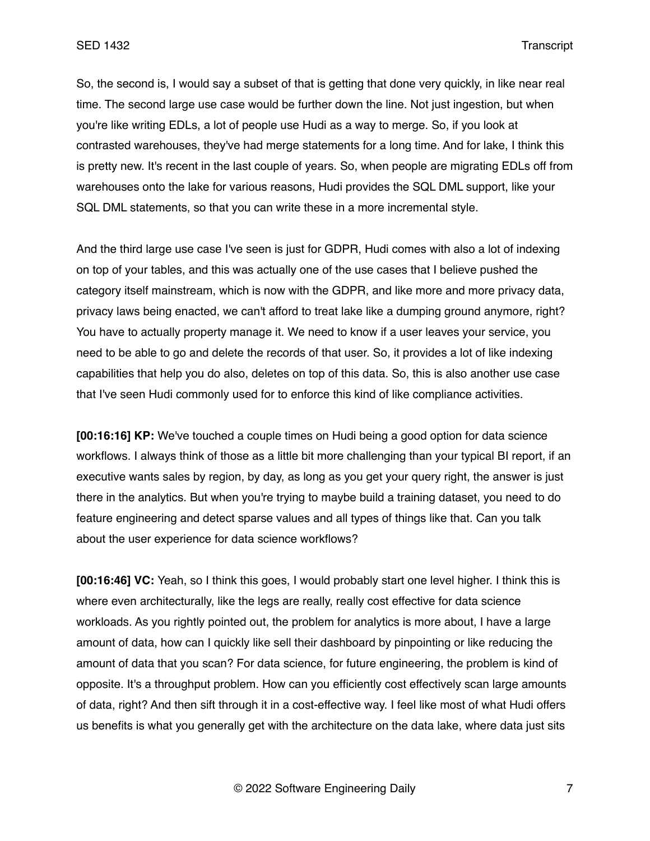So, the second is, I would say a subset of that is getting that done very quickly, in like near real time. The second large use case would be further down the line. Not just ingestion, but when you're like writing EDLs, a lot of people use Hudi as a way to merge. So, if you look at contrasted warehouses, they've had merge statements for a long time. And for lake, I think this is pretty new. It's recent in the last couple of years. So, when people are migrating EDLs off from warehouses onto the lake for various reasons, Hudi provides the SQL DML support, like your SQL DML statements, so that you can write these in a more incremental style.

And the third large use case I've seen is just for GDPR, Hudi comes with also a lot of indexing on top of your tables, and this was actually one of the use cases that I believe pushed the category itself mainstream, which is now with the GDPR, and like more and more privacy data, privacy laws being enacted, we can't afford to treat lake like a dumping ground anymore, right? You have to actually property manage it. We need to know if a user leaves your service, you need to be able to go and delete the records of that user. So, it provides a lot of like indexing capabilities that help you do also, deletes on top of this data. So, this is also another use case that I've seen Hudi commonly used for to enforce this kind of like compliance activities.

**[00:16:16] KP:** We've touched a couple times on Hudi being a good option for data science workflows. I always think of those as a little bit more challenging than your typical BI report, if an executive wants sales by region, by day, as long as you get your query right, the answer is just there in the analytics. But when you're trying to maybe build a training dataset, you need to do feature engineering and detect sparse values and all types of things like that. Can you talk about the user experience for data science workflows?

**[00:16:46] VC:** Yeah, so I think this goes, I would probably start one level higher. I think this is where even architecturally, like the legs are really, really cost effective for data science workloads. As you rightly pointed out, the problem for analytics is more about, I have a large amount of data, how can I quickly like sell their dashboard by pinpointing or like reducing the amount of data that you scan? For data science, for future engineering, the problem is kind of opposite. It's a throughput problem. How can you efficiently cost effectively scan large amounts of data, right? And then sift through it in a cost-effective way. I feel like most of what Hudi offers us benefits is what you generally get with the architecture on the data lake, where data just sits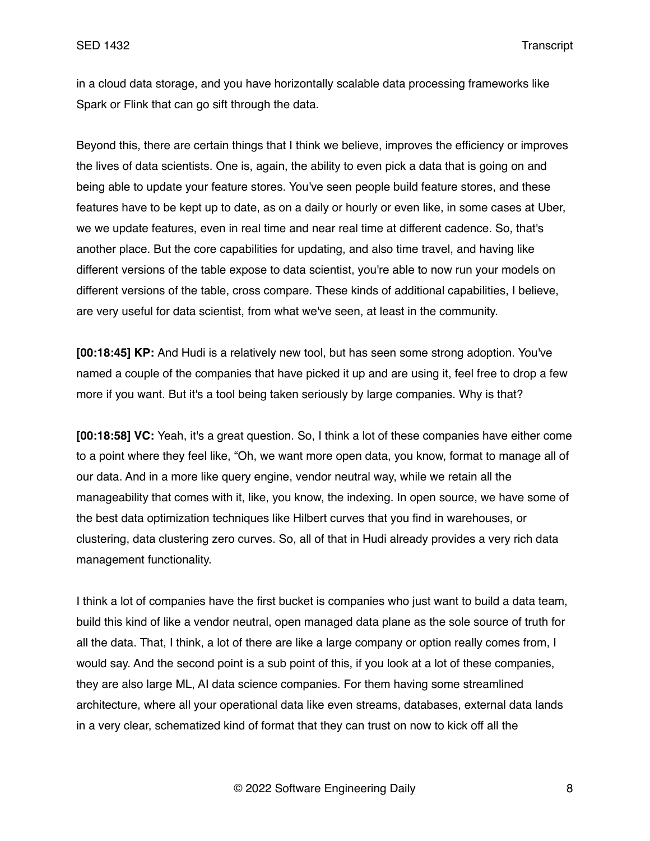in a cloud data storage, and you have horizontally scalable data processing frameworks like Spark or Flink that can go sift through the data.

Beyond this, there are certain things that I think we believe, improves the efficiency or improves the lives of data scientists. One is, again, the ability to even pick a data that is going on and being able to update your feature stores. You've seen people build feature stores, and these features have to be kept up to date, as on a daily or hourly or even like, in some cases at Uber, we we update features, even in real time and near real time at different cadence. So, that's another place. But the core capabilities for updating, and also time travel, and having like different versions of the table expose to data scientist, you're able to now run your models on different versions of the table, cross compare. These kinds of additional capabilities, I believe, are very useful for data scientist, from what we've seen, at least in the community.

**[00:18:45] KP:** And Hudi is a relatively new tool, but has seen some strong adoption. You've named a couple of the companies that have picked it up and are using it, feel free to drop a few more if you want. But it's a tool being taken seriously by large companies. Why is that?

**[00:18:58] VC:** Yeah, it's a great question. So, I think a lot of these companies have either come to a point where they feel like, "Oh, we want more open data, you know, format to manage all of our data. And in a more like query engine, vendor neutral way, while we retain all the manageability that comes with it, like, you know, the indexing. In open source, we have some of the best data optimization techniques like Hilbert curves that you find in warehouses, or clustering, data clustering zero curves. So, all of that in Hudi already provides a very rich data management functionality.

I think a lot of companies have the first bucket is companies who just want to build a data team, build this kind of like a vendor neutral, open managed data plane as the sole source of truth for all the data. That, I think, a lot of there are like a large company or option really comes from, I would say. And the second point is a sub point of this, if you look at a lot of these companies, they are also large ML, AI data science companies. For them having some streamlined architecture, where all your operational data like even streams, databases, external data lands in a very clear, schematized kind of format that they can trust on now to kick off all the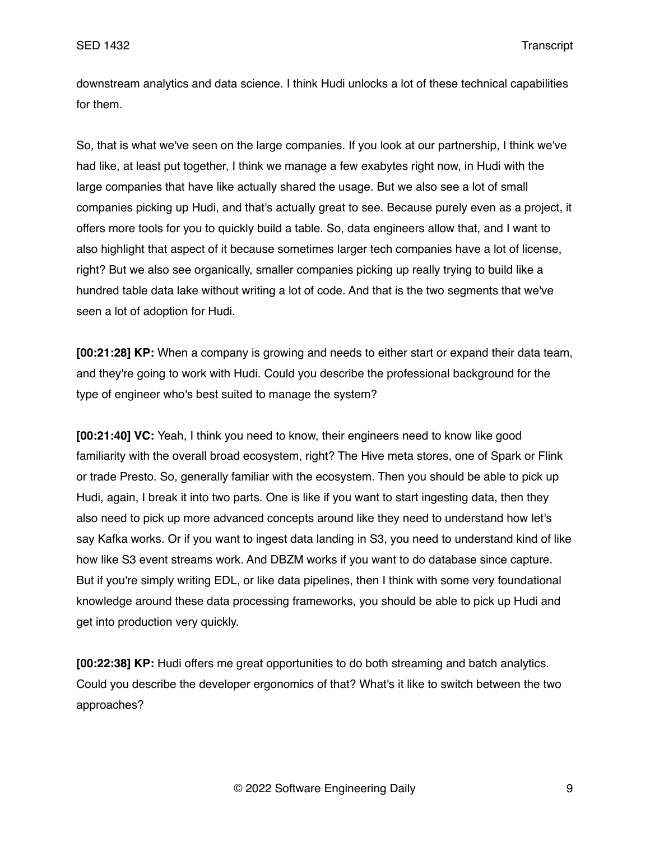downstream analytics and data science. I think Hudi unlocks a lot of these technical capabilities for them.

So, that is what we've seen on the large companies. If you look at our partnership, I think we've had like, at least put together, I think we manage a few exabytes right now, in Hudi with the large companies that have like actually shared the usage. But we also see a lot of small companies picking up Hudi, and that's actually great to see. Because purely even as a project, it offers more tools for you to quickly build a table. So, data engineers allow that, and I want to also highlight that aspect of it because sometimes larger tech companies have a lot of license, right? But we also see organically, smaller companies picking up really trying to build like a hundred table data lake without writing a lot of code. And that is the two segments that we've seen a lot of adoption for Hudi.

**[00:21:28] KP:** When a company is growing and needs to either start or expand their data team, and they're going to work with Hudi. Could you describe the professional background for the type of engineer who's best suited to manage the system?

**[00:21:40] VC:** Yeah, I think you need to know, their engineers need to know like good familiarity with the overall broad ecosystem, right? The Hive meta stores, one of Spark or Flink or trade Presto. So, generally familiar with the ecosystem. Then you should be able to pick up Hudi, again, I break it into two parts. One is like if you want to start ingesting data, then they also need to pick up more advanced concepts around like they need to understand how let's say Kafka works. Or if you want to ingest data landing in S3, you need to understand kind of like how like S3 event streams work. And DBZM works if you want to do database since capture. But if you're simply writing EDL, or like data pipelines, then I think with some very foundational knowledge around these data processing frameworks, you should be able to pick up Hudi and get into production very quickly.

**[00:22:38] KP:** Hudi offers me great opportunities to do both streaming and batch analytics. Could you describe the developer ergonomics of that? What's it like to switch between the two approaches?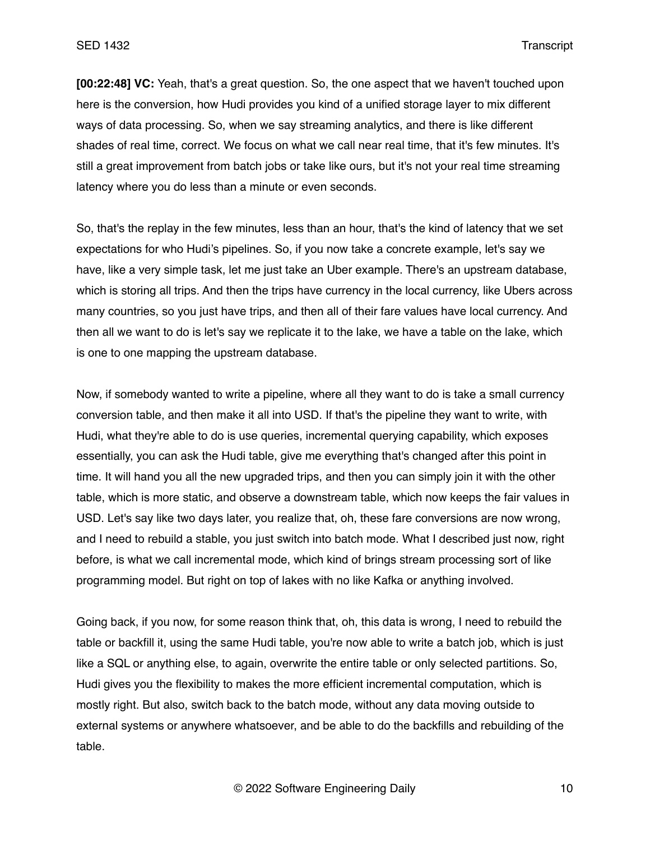**[00:22:48] VC:** Yeah, that's a great question. So, the one aspect that we haven't touched upon here is the conversion, how Hudi provides you kind of a unified storage layer to mix different ways of data processing. So, when we say streaming analytics, and there is like different shades of real time, correct. We focus on what we call near real time, that it's few minutes. It's still a great improvement from batch jobs or take like ours, but it's not your real time streaming latency where you do less than a minute or even seconds.

So, that's the replay in the few minutes, less than an hour, that's the kind of latency that we set expectations for who Hudi's pipelines. So, if you now take a concrete example, let's say we have, like a very simple task, let me just take an Uber example. There's an upstream database, which is storing all trips. And then the trips have currency in the local currency, like Ubers across many countries, so you just have trips, and then all of their fare values have local currency. And then all we want to do is let's say we replicate it to the lake, we have a table on the lake, which is one to one mapping the upstream database.

Now, if somebody wanted to write a pipeline, where all they want to do is take a small currency conversion table, and then make it all into USD. If that's the pipeline they want to write, with Hudi, what they're able to do is use queries, incremental querying capability, which exposes essentially, you can ask the Hudi table, give me everything that's changed after this point in time. It will hand you all the new upgraded trips, and then you can simply join it with the other table, which is more static, and observe a downstream table, which now keeps the fair values in USD. Let's say like two days later, you realize that, oh, these fare conversions are now wrong, and I need to rebuild a stable, you just switch into batch mode. What I described just now, right before, is what we call incremental mode, which kind of brings stream processing sort of like programming model. But right on top of lakes with no like Kafka or anything involved.

Going back, if you now, for some reason think that, oh, this data is wrong, I need to rebuild the table or backfill it, using the same Hudi table, you're now able to write a batch job, which is just like a SQL or anything else, to again, overwrite the entire table or only selected partitions. So, Hudi gives you the flexibility to makes the more efficient incremental computation, which is mostly right. But also, switch back to the batch mode, without any data moving outside to external systems or anywhere whatsoever, and be able to do the backfills and rebuilding of the table.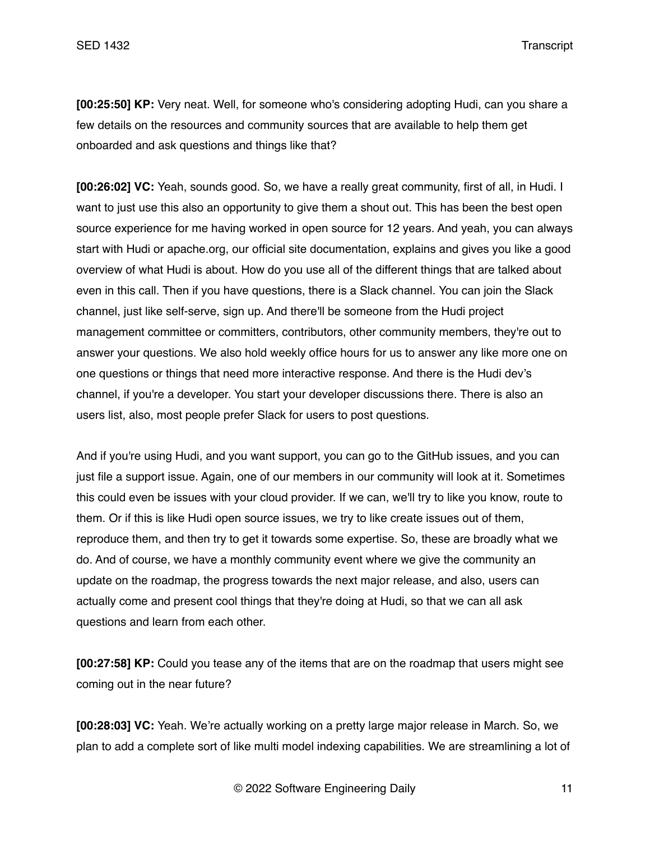**[00:25:50] KP:** Very neat. Well, for someone who's considering adopting Hudi, can you share a few details on the resources and community sources that are available to help them get onboarded and ask questions and things like that?

**[00:26:02] VC:** Yeah, sounds good. So, we have a really great community, first of all, in Hudi. I want to just use this also an opportunity to give them a shout out. This has been the best open source experience for me having worked in open source for 12 years. And yeah, you can always start with Hudi or apache.org, our official site documentation, explains and gives you like a good overview of what Hudi is about. How do you use all of the different things that are talked about even in this call. Then if you have questions, there is a Slack channel. You can join the Slack channel, just like self-serve, sign up. And there'll be someone from the Hudi project management committee or committers, contributors, other community members, they're out to answer your questions. We also hold weekly office hours for us to answer any like more one on one questions or things that need more interactive response. And there is the Hudi dev's channel, if you're a developer. You start your developer discussions there. There is also an users list, also, most people prefer Slack for users to post questions.

And if you're using Hudi, and you want support, you can go to the GitHub issues, and you can just file a support issue. Again, one of our members in our community will look at it. Sometimes this could even be issues with your cloud provider. If we can, we'll try to like you know, route to them. Or if this is like Hudi open source issues, we try to like create issues out of them, reproduce them, and then try to get it towards some expertise. So, these are broadly what we do. And of course, we have a monthly community event where we give the community an update on the roadmap, the progress towards the next major release, and also, users can actually come and present cool things that they're doing at Hudi, so that we can all ask questions and learn from each other.

**[00:27:58] KP:** Could you tease any of the items that are on the roadmap that users might see coming out in the near future?

**[00:28:03] VC:** Yeah. We're actually working on a pretty large major release in March. So, we plan to add a complete sort of like multi model indexing capabilities. We are streamlining a lot of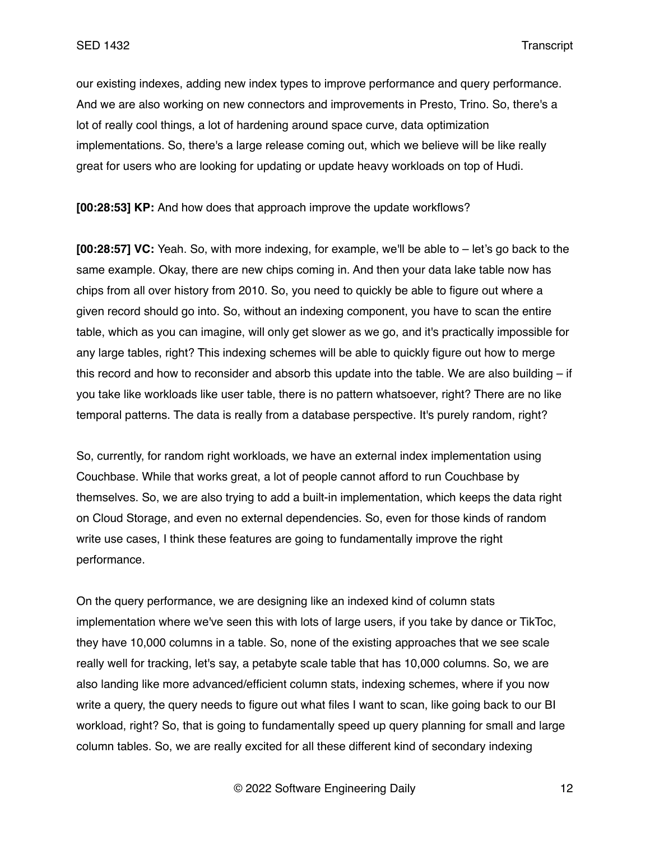our existing indexes, adding new index types to improve performance and query performance. And we are also working on new connectors and improvements in Presto, Trino. So, there's a lot of really cool things, a lot of hardening around space curve, data optimization implementations. So, there's a large release coming out, which we believe will be like really great for users who are looking for updating or update heavy workloads on top of Hudi.

**[00:28:53] KP:** And how does that approach improve the update workflows?

**[00:28:57] VC:** Yeah. So, with more indexing, for example, we'll be able to – let's go back to the same example. Okay, there are new chips coming in. And then your data lake table now has chips from all over history from 2010. So, you need to quickly be able to figure out where a given record should go into. So, without an indexing component, you have to scan the entire table, which as you can imagine, will only get slower as we go, and it's practically impossible for any large tables, right? This indexing schemes will be able to quickly figure out how to merge this record and how to reconsider and absorb this update into the table. We are also building  $-$  if you take like workloads like user table, there is no pattern whatsoever, right? There are no like temporal patterns. The data is really from a database perspective. It's purely random, right?

So, currently, for random right workloads, we have an external index implementation using Couchbase. While that works great, a lot of people cannot afford to run Couchbase by themselves. So, we are also trying to add a built-in implementation, which keeps the data right on Cloud Storage, and even no external dependencies. So, even for those kinds of random write use cases, I think these features are going to fundamentally improve the right performance.

On the query performance, we are designing like an indexed kind of column stats implementation where we've seen this with lots of large users, if you take by dance or TikToc, they have 10,000 columns in a table. So, none of the existing approaches that we see scale really well for tracking, let's say, a petabyte scale table that has 10,000 columns. So, we are also landing like more advanced/efficient column stats, indexing schemes, where if you now write a query, the query needs to figure out what files I want to scan, like going back to our BI workload, right? So, that is going to fundamentally speed up query planning for small and large column tables. So, we are really excited for all these different kind of secondary indexing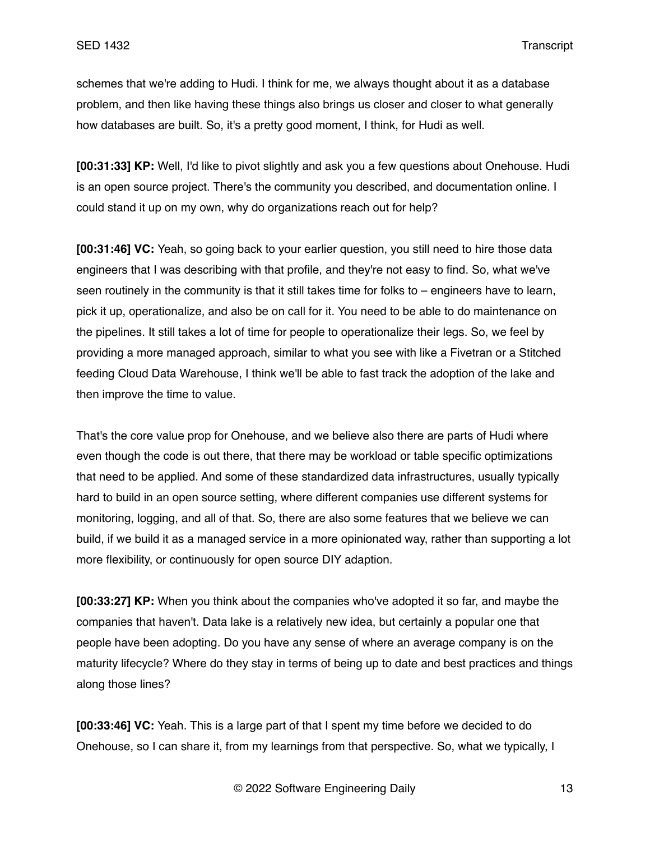schemes that we're adding to Hudi. I think for me, we always thought about it as a database problem, and then like having these things also brings us closer and closer to what generally how databases are built. So, it's a pretty good moment, I think, for Hudi as well.

**[00:31:33] KP:** Well, I'd like to pivot slightly and ask you a few questions about Onehouse. Hudi is an open source project. There's the community you described, and documentation online. I could stand it up on my own, why do organizations reach out for help?

**[00:31:46] VC:** Yeah, so going back to your earlier question, you still need to hire those data engineers that I was describing with that profile, and they're not easy to find. So, what we've seen routinely in the community is that it still takes time for folks to – engineers have to learn, pick it up, operationalize, and also be on call for it. You need to be able to do maintenance on the pipelines. It still takes a lot of time for people to operationalize their legs. So, we feel by providing a more managed approach, similar to what you see with like a Fivetran or a Stitched feeding Cloud Data Warehouse, I think we'll be able to fast track the adoption of the lake and then improve the time to value.

That's the core value prop for Onehouse, and we believe also there are parts of Hudi where even though the code is out there, that there may be workload or table specific optimizations that need to be applied. And some of these standardized data infrastructures, usually typically hard to build in an open source setting, where different companies use different systems for monitoring, logging, and all of that. So, there are also some features that we believe we can build, if we build it as a managed service in a more opinionated way, rather than supporting a lot more flexibility, or continuously for open source DIY adaption.

**[00:33:27] KP:** When you think about the companies who've adopted it so far, and maybe the companies that haven't. Data lake is a relatively new idea, but certainly a popular one that people have been adopting. Do you have any sense of where an average company is on the maturity lifecycle? Where do they stay in terms of being up to date and best practices and things along those lines?

**[00:33:46] VC:** Yeah. This is a large part of that I spent my time before we decided to do Onehouse, so I can share it, from my learnings from that perspective. So, what we typically, I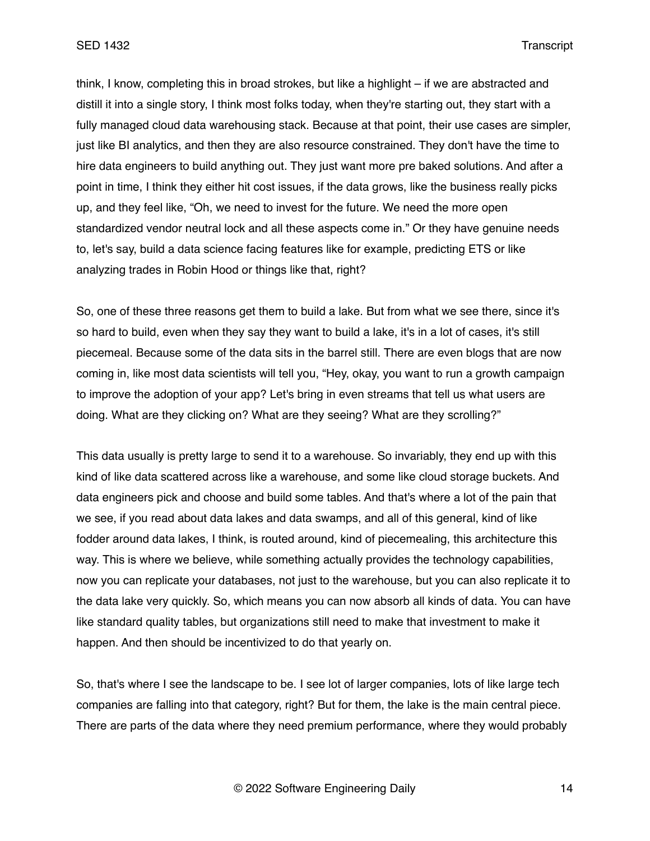think, I know, completing this in broad strokes, but like a highlight – if we are abstracted and distill it into a single story, I think most folks today, when they're starting out, they start with a fully managed cloud data warehousing stack. Because at that point, their use cases are simpler, just like BI analytics, and then they are also resource constrained. They don't have the time to hire data engineers to build anything out. They just want more pre baked solutions. And after a point in time, I think they either hit cost issues, if the data grows, like the business really picks up, and they feel like, "Oh, we need to invest for the future. We need the more open standardized vendor neutral lock and all these aspects come in." Or they have genuine needs to, let's say, build a data science facing features like for example, predicting ETS or like analyzing trades in Robin Hood or things like that, right?

So, one of these three reasons get them to build a lake. But from what we see there, since it's so hard to build, even when they say they want to build a lake, it's in a lot of cases, it's still piecemeal. Because some of the data sits in the barrel still. There are even blogs that are now coming in, like most data scientists will tell you, "Hey, okay, you want to run a growth campaign to improve the adoption of your app? Let's bring in even streams that tell us what users are doing. What are they clicking on? What are they seeing? What are they scrolling?"

This data usually is pretty large to send it to a warehouse. So invariably, they end up with this kind of like data scattered across like a warehouse, and some like cloud storage buckets. And data engineers pick and choose and build some tables. And that's where a lot of the pain that we see, if you read about data lakes and data swamps, and all of this general, kind of like fodder around data lakes, I think, is routed around, kind of piecemealing, this architecture this way. This is where we believe, while something actually provides the technology capabilities, now you can replicate your databases, not just to the warehouse, but you can also replicate it to the data lake very quickly. So, which means you can now absorb all kinds of data. You can have like standard quality tables, but organizations still need to make that investment to make it happen. And then should be incentivized to do that yearly on.

So, that's where I see the landscape to be. I see lot of larger companies, lots of like large tech companies are falling into that category, right? But for them, the lake is the main central piece. There are parts of the data where they need premium performance, where they would probably